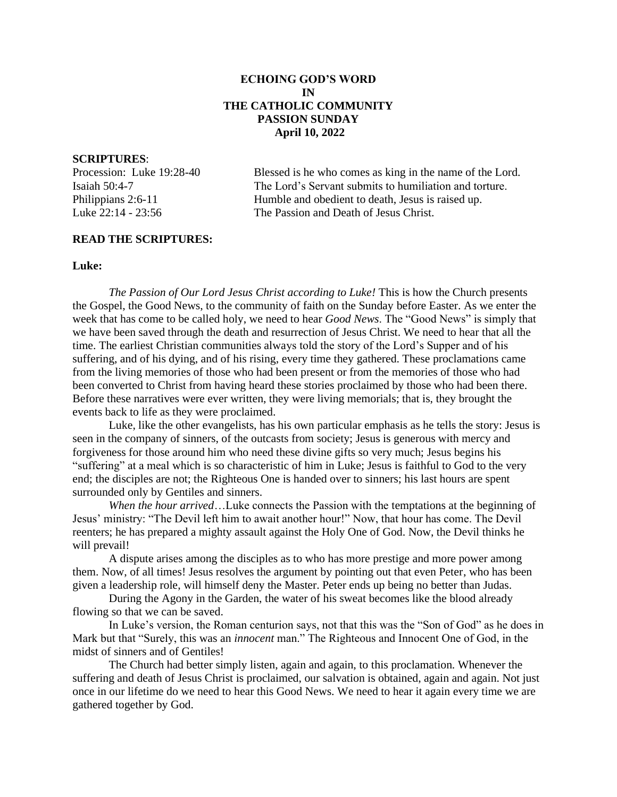# **ECHOING GOD'S WORD IN THE CATHOLIC COMMUNITY PASSION SUNDAY April 10, 2022**

## **SCRIPTURES**:

Procession: Luke 19:28-40 Blessed is he who comes as king in the name of the Lord. Isaiah 50:4-7 The Lord's Servant submits to humiliation and torture. Philippians 2:6-11 Humble and obedient to death, Jesus is raised up. Luke 22:14 - 23:56 The Passion and Death of Jesus Christ.

# **READ THE SCRIPTURES:**

## **Luke:**

 *The Passion of Our Lord Jesus Christ according to Luke!* This is how the Church presents the Gospel, the Good News, to the community of faith on the Sunday before Easter. As we enter the week that has come to be called holy, we need to hear *Good News*. The "Good News" is simply that we have been saved through the death and resurrection of Jesus Christ. We need to hear that all the time. The earliest Christian communities always told the story of the Lord's Supper and of his suffering, and of his dying, and of his rising, every time they gathered. These proclamations came from the living memories of those who had been present or from the memories of those who had been converted to Christ from having heard these stories proclaimed by those who had been there. Before these narratives were ever written, they were living memorials; that is, they brought the events back to life as they were proclaimed.

 Luke, like the other evangelists, has his own particular emphasis as he tells the story: Jesus is seen in the company of sinners, of the outcasts from society; Jesus is generous with mercy and forgiveness for those around him who need these divine gifts so very much; Jesus begins his "suffering" at a meal which is so characteristic of him in Luke; Jesus is faithful to God to the very end; the disciples are not; the Righteous One is handed over to sinners; his last hours are spent surrounded only by Gentiles and sinners.

 *When the hour arrived*…Luke connects the Passion with the temptations at the beginning of Jesus' ministry: "The Devil left him to await another hour!" Now, that hour has come. The Devil reenters; he has prepared a mighty assault against the Holy One of God. Now, the Devil thinks he will prevail!

 A dispute arises among the disciples as to who has more prestige and more power among them. Now, of all times! Jesus resolves the argument by pointing out that even Peter, who has been given a leadership role, will himself deny the Master. Peter ends up being no better than Judas.

 During the Agony in the Garden, the water of his sweat becomes like the blood already flowing so that we can be saved.

 In Luke's version, the Roman centurion says, not that this was the "Son of God" as he does in Mark but that "Surely, this was an *innocent* man." The Righteous and Innocent One of God, in the midst of sinners and of Gentiles!

 The Church had better simply listen, again and again, to this proclamation. Whenever the suffering and death of Jesus Christ is proclaimed, our salvation is obtained, again and again. Not just once in our lifetime do we need to hear this Good News. We need to hear it again every time we are gathered together by God.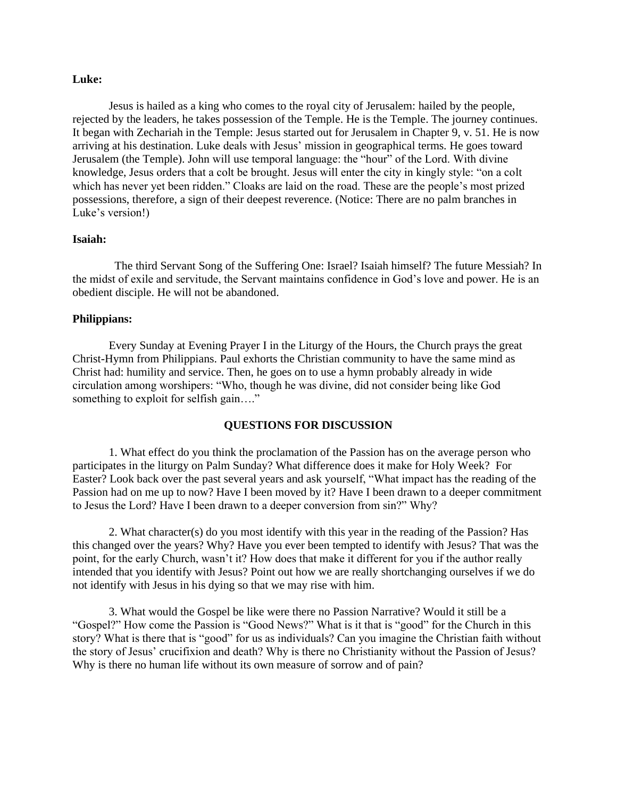## **Luke:**

 Jesus is hailed as a king who comes to the royal city of Jerusalem: hailed by the people, rejected by the leaders, he takes possession of the Temple. He is the Temple. The journey continues. It began with Zechariah in the Temple: Jesus started out for Jerusalem in Chapter 9, v. 51. He is now arriving at his destination. Luke deals with Jesus' mission in geographical terms. He goes toward Jerusalem (the Temple). John will use temporal language: the "hour" of the Lord. With divine knowledge, Jesus orders that a colt be brought. Jesus will enter the city in kingly style: "on a colt which has never yet been ridden." Cloaks are laid on the road. These are the people's most prized possessions, therefore, a sign of their deepest reverence. (Notice: There are no palm branches in Luke's version!)

## **Isaiah:**

 The third Servant Song of the Suffering One: Israel? Isaiah himself? The future Messiah? In the midst of exile and servitude, the Servant maintains confidence in God's love and power. He is an obedient disciple. He will not be abandoned.

#### **Philippians:**

 Every Sunday at Evening Prayer I in the Liturgy of the Hours, the Church prays the great Christ-Hymn from Philippians. Paul exhorts the Christian community to have the same mind as Christ had: humility and service. Then, he goes on to use a hymn probably already in wide circulation among worshipers: "Who, though he was divine, did not consider being like God something to exploit for selfish gain...."

## **QUESTIONS FOR DISCUSSION**

 1. What effect do you think the proclamation of the Passion has on the average person who participates in the liturgy on Palm Sunday? What difference does it make for Holy Week? For Easter? Look back over the past several years and ask yourself, "What impact has the reading of the Passion had on me up to now? Have I been moved by it? Have I been drawn to a deeper commitment to Jesus the Lord? Have I been drawn to a deeper conversion from sin?" Why?

 2. What character(s) do you most identify with this year in the reading of the Passion? Has this changed over the years? Why? Have you ever been tempted to identify with Jesus? That was the point, for the early Church, wasn't it? How does that make it different for you if the author really intended that you identify with Jesus? Point out how we are really shortchanging ourselves if we do not identify with Jesus in his dying so that we may rise with him.

 3. What would the Gospel be like were there no Passion Narrative? Would it still be a "Gospel?" How come the Passion is "Good News?" What is it that is "good" for the Church in this story? What is there that is "good" for us as individuals? Can you imagine the Christian faith without the story of Jesus' crucifixion and death? Why is there no Christianity without the Passion of Jesus? Why is there no human life without its own measure of sorrow and of pain?